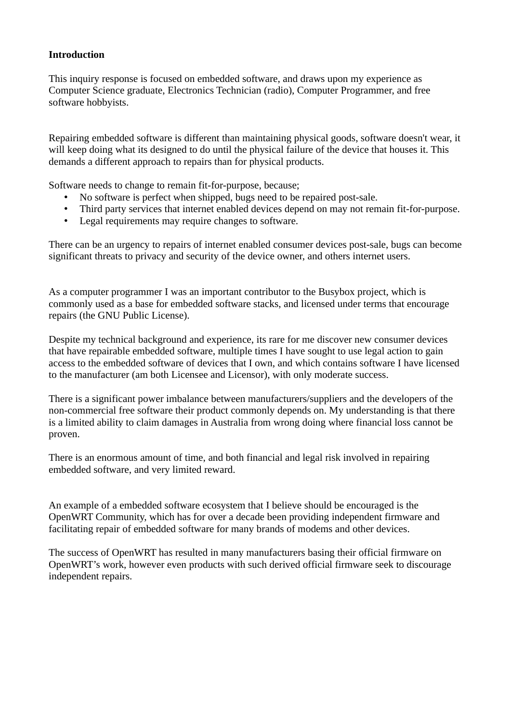## **Introduction**

This inquiry response is focused on embedded software, and draws upon my experience as Computer Science graduate, Electronics Technician (radio), Computer Programmer, and free software hobbyists.

Repairing embedded software is different than maintaining physical goods, software doesn't wear, it will keep doing what its designed to do until the physical failure of the device that houses it. This demands a different approach to repairs than for physical products.

Software needs to change to remain fit-for-purpose, because;

- No software is perfect when shipped, bugs need to be repaired post-sale.
- Third party services that internet enabled devices depend on may not remain fit-for-purpose.
- Legal requirements may require changes to software.

There can be an urgency to repairs of internet enabled consumer devices post-sale, bugs can become significant threats to privacy and security of the device owner, and others internet users.

As a computer programmer I was an important contributor to the Busybox project, which is commonly used as a base for embedded software stacks, and licensed under terms that encourage repairs (the GNU Public License).

Despite my technical background and experience, its rare for me discover new consumer devices that have repairable embedded software, multiple times I have sought to use legal action to gain access to the embedded software of devices that I own, and which contains software I have licensed to the manufacturer (am both Licensee and Licensor), with only moderate success.

There is a significant power imbalance between manufacturers/suppliers and the developers of the non-commercial free software their product commonly depends on. My understanding is that there is a limited ability to claim damages in Australia from wrong doing where financial loss cannot be proven.

There is an enormous amount of time, and both financial and legal risk involved in repairing embedded software, and very limited reward.

An example of a embedded software ecosystem that I believe should be encouraged is the OpenWRT Community, which has for over a decade been providing independent firmware and facilitating repair of embedded software for many brands of modems and other devices.

The success of OpenWRT has resulted in many manufacturers basing their official firmware on OpenWRT's work, however even products with such derived official firmware seek to discourage independent repairs.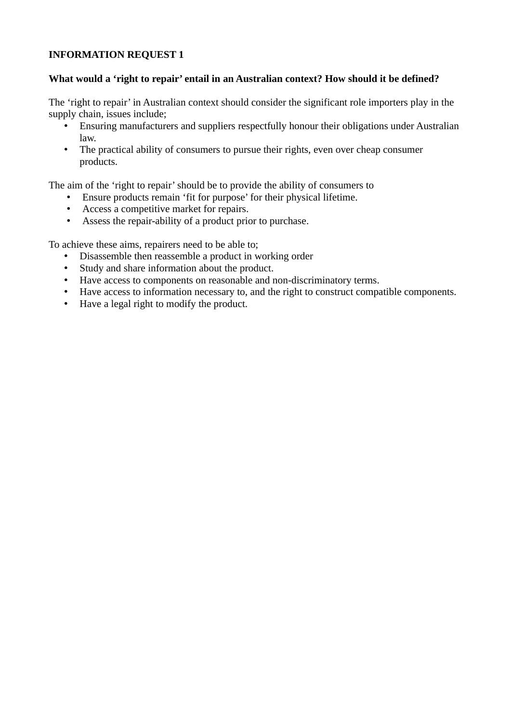#### **What would a 'right to repair' entail in an Australian context? How should it be defined?**

The 'right to repair' in Australian context should consider the significant role importers play in the supply chain, issues include;

- Ensuring manufacturers and suppliers respectfully honour their obligations under Australian law.
- The practical ability of consumers to pursue their rights, even over cheap consumer products.

The aim of the 'right to repair' should be to provide the ability of consumers to

- Ensure products remain 'fit for purpose' for their physical lifetime.
- Access a competitive market for repairs.
- Assess the repair-ability of a product prior to purchase.

To achieve these aims, repairers need to be able to;

- Disassemble then reassemble a product in working order
- Study and share information about the product.
- Have access to components on reasonable and non-discriminatory terms.
- Have access to information necessary to, and the right to construct compatible components.
- Have a legal right to modify the product.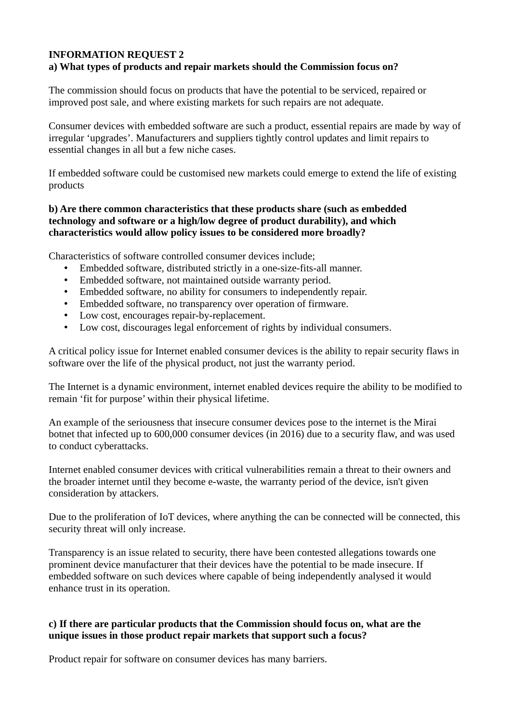### **INFORMATION REQUEST 2 a) What types of products and repair markets should the Commission focus on?**

The commission should focus on products that have the potential to be serviced, repaired or improved post sale, and where existing markets for such repairs are not adequate.

Consumer devices with embedded software are such a product, essential repairs are made by way of irregular 'upgrades'. Manufacturers and suppliers tightly control updates and limit repairs to essential changes in all but a few niche cases.

If embedded software could be customised new markets could emerge to extend the life of existing products

## **b) Are there common characteristics that these products share (such as embedded technology and software or a high/low degree of product durability), and which characteristics would allow policy issues to be considered more broadly?**

Characteristics of software controlled consumer devices include;

- Embedded software, distributed strictly in a one-size-fits-all manner.
- Embedded software, not maintained outside warranty period.
- Embedded software, no ability for consumers to independently repair.
- Embedded software, no transparency over operation of firmware.
- Low cost, encourages repair-by-replacement.
- Low cost, discourages legal enforcement of rights by individual consumers.

A critical policy issue for Internet enabled consumer devices is the ability to repair security flaws in software over the life of the physical product, not just the warranty period.

The Internet is a dynamic environment, internet enabled devices require the ability to be modified to remain 'fit for purpose' within their physical lifetime.

An example of the seriousness that insecure consumer devices pose to the internet is the Mirai botnet that infected up to 600,000 consumer devices (in 2016) due to a security flaw, and was used to conduct cyberattacks.

Internet enabled consumer devices with critical vulnerabilities remain a threat to their owners and the broader internet until they become e-waste, the warranty period of the device, isn't given consideration by attackers.

Due to the proliferation of IoT devices, where anything the can be connected will be connected, this security threat will only increase.

Transparency is an issue related to security, there have been contested allegations towards one prominent device manufacturer that their devices have the potential to be made insecure. If embedded software on such devices where capable of being independently analysed it would enhance trust in its operation.

# **c) If there are particular products that the Commission should focus on, what are the unique issues in those product repair markets that support such a focus?**

Product repair for software on consumer devices has many barriers.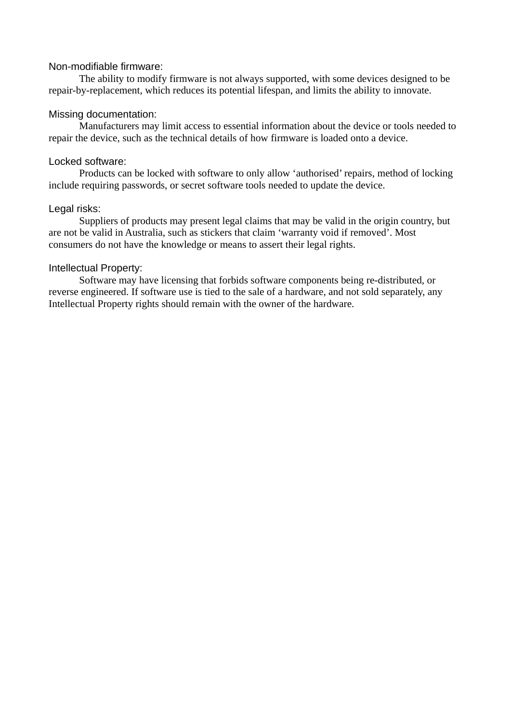#### Non-modifiable firmware:

The ability to modify firmware is not always supported, with some devices designed to be repair-by-replacement, which reduces its potential lifespan, and limits the ability to innovate.

#### Missing documentation:

Manufacturers may limit access to essential information about the device or tools needed to repair the device, such as the technical details of how firmware is loaded onto a device.

#### Locked software:

Products can be locked with software to only allow 'authorised' repairs, method of locking include requiring passwords, or secret software tools needed to update the device.

#### Legal risks:

Suppliers of products may present legal claims that may be valid in the origin country, but are not be valid in Australia, such as stickers that claim 'warranty void if removed'. Most consumers do not have the knowledge or means to assert their legal rights.

#### Intellectual Property:

Software may have licensing that forbids software components being re-distributed, or reverse engineered. If software use is tied to the sale of a hardware, and not sold separately, any Intellectual Property rights should remain with the owner of the hardware.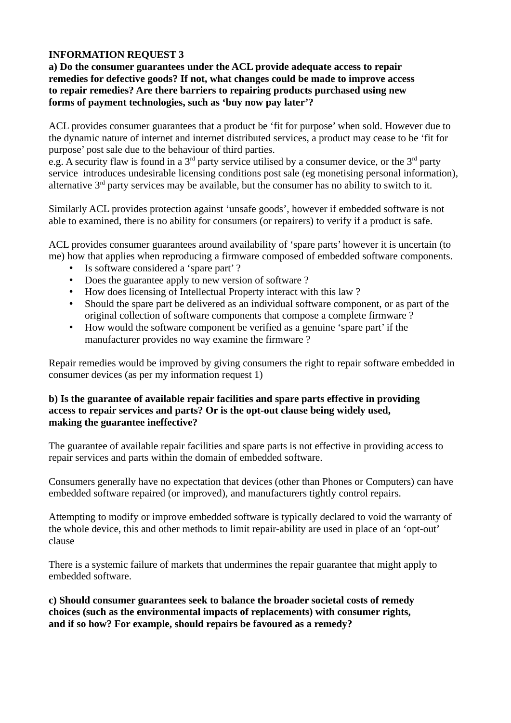### **a) Do the consumer guarantees under the ACL provide adequate access to repair remedies for defective goods? If not, what changes could be made to improve access to repair remedies? Are there barriers to repairing products purchased using new forms of payment technologies, such as 'buy now pay later'?**

ACL provides consumer guarantees that a product be 'fit for purpose' when sold. However due to the dynamic nature of internet and internet distributed services, a product may cease to be 'fit for purpose' post sale due to the behaviour of third parties.

e.g. A security flaw is found in a  $3<sup>rd</sup>$  party service utilised by a consumer device, or the  $3<sup>rd</sup>$  party service introduces undesirable licensing conditions post sale (eg monetising personal information), alternative 3<sup>rd</sup> party services may be available, but the consumer has no ability to switch to it.

Similarly ACL provides protection against 'unsafe goods', however if embedded software is not able to examined, there is no ability for consumers (or repairers) to verify if a product is safe.

ACL provides consumer guarantees around availability of 'spare parts' however it is uncertain (to me) how that applies when reproducing a firmware composed of embedded software components.

- Is software considered a 'spare part'?
- Does the guarantee apply to new version of software ?
- How does licensing of Intellectual Property interact with this law ?
- Should the spare part be delivered as an individual software component, or as part of the original collection of software components that compose a complete firmware ?
- How would the software component be verified as a genuine 'spare part' if the manufacturer provides no way examine the firmware ?

Repair remedies would be improved by giving consumers the right to repair software embedded in consumer devices (as per my information request 1)

### **b) Is the guarantee of available repair facilities and spare parts effective in providing access to repair services and parts? Or is the opt-out clause being widely used, making the guarantee ineffective?**

The guarantee of available repair facilities and spare parts is not effective in providing access to repair services and parts within the domain of embedded software.

Consumers generally have no expectation that devices (other than Phones or Computers) can have embedded software repaired (or improved), and manufacturers tightly control repairs.

Attempting to modify or improve embedded software is typically declared to void the warranty of the whole device, this and other methods to limit repair-ability are used in place of an 'opt-out' clause

There is a systemic failure of markets that undermines the repair guarantee that might apply to embedded software.

**c) Should consumer guarantees seek to balance the broader societal costs of remedy choices (such as the environmental impacts of replacements) with consumer rights, and if so how? For example, should repairs be favoured as a remedy?**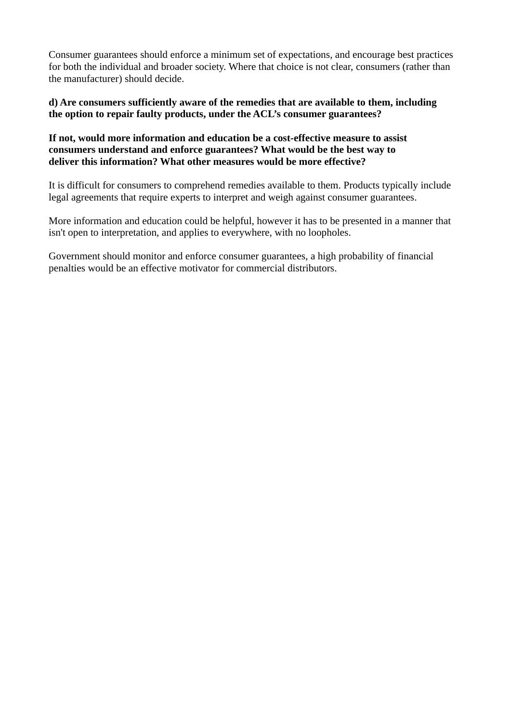Consumer guarantees should enforce a minimum set of expectations, and encourage best practices for both the individual and broader society. Where that choice is not clear, consumers (rather than the manufacturer) should decide.

### **d) Are consumers sufficiently aware of the remedies that are available to them, including the option to repair faulty products, under the ACL's consumer guarantees?**

### **If not, would more information and education be a cost-effective measure to assist consumers understand and enforce guarantees? What would be the best way to deliver this information? What other measures would be more effective?**

It is difficult for consumers to comprehend remedies available to them. Products typically include legal agreements that require experts to interpret and weigh against consumer guarantees.

More information and education could be helpful, however it has to be presented in a manner that isn't open to interpretation, and applies to everywhere, with no loopholes.

Government should monitor and enforce consumer guarantees, a high probability of financial penalties would be an effective motivator for commercial distributors.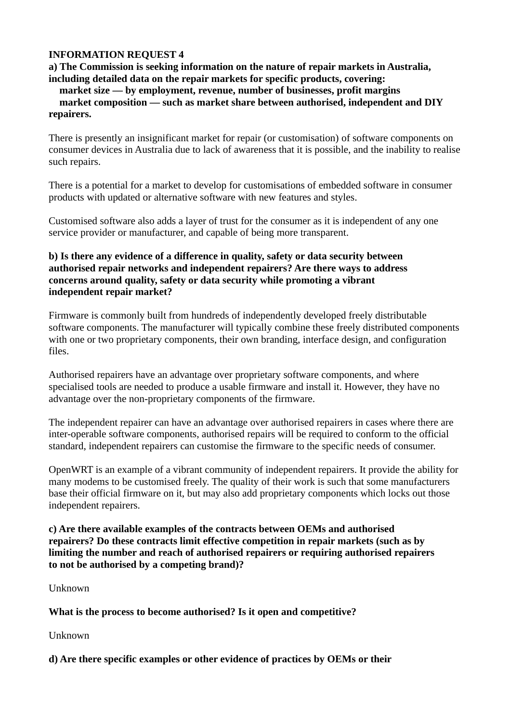**a) The Commission is seeking information on the nature of repair markets in Australia, including detailed data on the repair markets for specific products, covering:**

#### **market size — by employment, revenue, number of businesses, profit margins market composition — such as market share between authorised, independent and DIY repairers.**

There is presently an insignificant market for repair (or customisation) of software components on consumer devices in Australia due to lack of awareness that it is possible, and the inability to realise such repairs.

There is a potential for a market to develop for customisations of embedded software in consumer products with updated or alternative software with new features and styles.

Customised software also adds a layer of trust for the consumer as it is independent of any one service provider or manufacturer, and capable of being more transparent.

### **b) Is there any evidence of a difference in quality, safety or data security between authorised repair networks and independent repairers? Are there ways to address concerns around quality, safety or data security while promoting a vibrant independent repair market?**

Firmware is commonly built from hundreds of independently developed freely distributable software components. The manufacturer will typically combine these freely distributed components with one or two proprietary components, their own branding, interface design, and configuration files.

Authorised repairers have an advantage over proprietary software components, and where specialised tools are needed to produce a usable firmware and install it. However, they have no advantage over the non-proprietary components of the firmware.

The independent repairer can have an advantage over authorised repairers in cases where there are inter-operable software components, authorised repairs will be required to conform to the official standard, independent repairers can customise the firmware to the specific needs of consumer.

OpenWRT is an example of a vibrant community of independent repairers. It provide the ability for many modems to be customised freely. The quality of their work is such that some manufacturers base their official firmware on it, but may also add proprietary components which locks out those independent repairers.

**c) Are there available examples of the contracts between OEMs and authorised repairers? Do these contracts limit effective competition in repair markets (such as by limiting the number and reach of authorised repairers or requiring authorised repairers to not be authorised by a competing brand)?**

#### Unknown

## **What is the process to become authorised? Is it open and competitive?**

Unknown

**d) Are there specific examples or other evidence of practices by OEMs or their**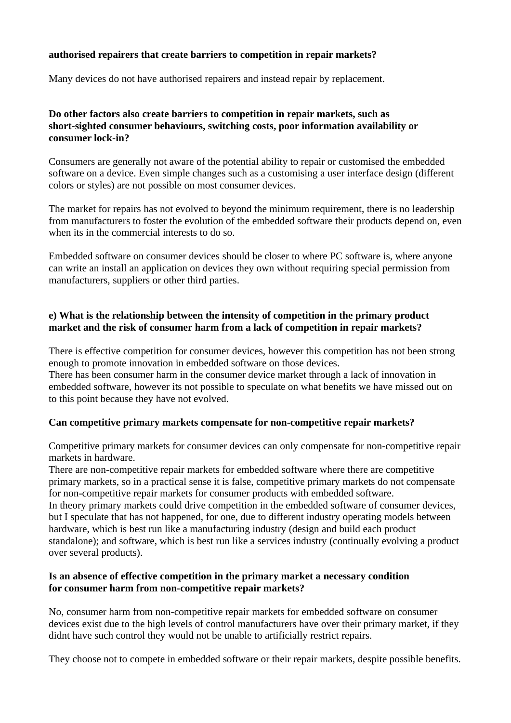## **authorised repairers that create barriers to competition in repair markets?**

Many devices do not have authorised repairers and instead repair by replacement.

### **Do other factors also create barriers to competition in repair markets, such as short-sighted consumer behaviours, switching costs, poor information availability or consumer lock-in?**

Consumers are generally not aware of the potential ability to repair or customised the embedded software on a device. Even simple changes such as a customising a user interface design (different colors or styles) are not possible on most consumer devices.

The market for repairs has not evolved to beyond the minimum requirement, there is no leadership from manufacturers to foster the evolution of the embedded software their products depend on, even when its in the commercial interests to do so.

Embedded software on consumer devices should be closer to where PC software is, where anyone can write an install an application on devices they own without requiring special permission from manufacturers, suppliers or other third parties.

### **e) What is the relationship between the intensity of competition in the primary product market and the risk of consumer harm from a lack of competition in repair markets?**

There is effective competition for consumer devices, however this competition has not been strong enough to promote innovation in embedded software on those devices.

There has been consumer harm in the consumer device market through a lack of innovation in embedded software, however its not possible to speculate on what benefits we have missed out on to this point because they have not evolved.

#### **Can competitive primary markets compensate for non-competitive repair markets?**

Competitive primary markets for consumer devices can only compensate for non-competitive repair markets in hardware.

There are non-competitive repair markets for embedded software where there are competitive primary markets, so in a practical sense it is false, competitive primary markets do not compensate for non-competitive repair markets for consumer products with embedded software. In theory primary markets could drive competition in the embedded software of consumer devices, but I speculate that has not happened, for one, due to different industry operating models between hardware, which is best run like a manufacturing industry (design and build each product standalone); and software, which is best run like a services industry (continually evolving a product over several products).

### **Is an absence of effective competition in the primary market a necessary condition for consumer harm from non-competitive repair markets?**

No, consumer harm from non-competitive repair markets for embedded software on consumer devices exist due to the high levels of control manufacturers have over their primary market, if they didnt have such control they would not be unable to artificially restrict repairs.

They choose not to compete in embedded software or their repair markets, despite possible benefits.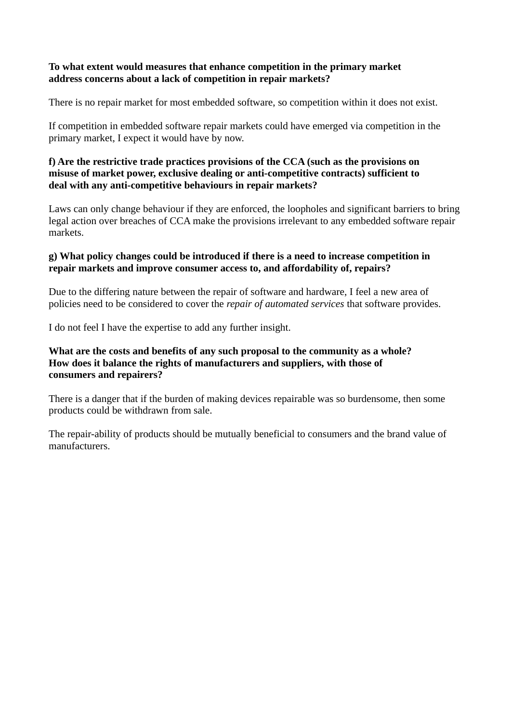### **To what extent would measures that enhance competition in the primary market address concerns about a lack of competition in repair markets?**

There is no repair market for most embedded software, so competition within it does not exist.

If competition in embedded software repair markets could have emerged via competition in the primary market, I expect it would have by now.

### **f) Are the restrictive trade practices provisions of the CCA (such as the provisions on misuse of market power, exclusive dealing or anti-competitive contracts) sufficient to deal with any anti-competitive behaviours in repair markets?**

Laws can only change behaviour if they are enforced, the loopholes and significant barriers to bring legal action over breaches of CCA make the provisions irrelevant to any embedded software repair markets.

## **g) What policy changes could be introduced if there is a need to increase competition in repair markets and improve consumer access to, and affordability of, repairs?**

Due to the differing nature between the repair of software and hardware, I feel a new area of policies need to be considered to cover the *repair of automated services* that software provides.

I do not feel I have the expertise to add any further insight.

## **What are the costs and benefits of any such proposal to the community as a whole? How does it balance the rights of manufacturers and suppliers, with those of consumers and repairers?**

There is a danger that if the burden of making devices repairable was so burdensome, then some products could be withdrawn from sale.

The repair-ability of products should be mutually beneficial to consumers and the brand value of manufacturers.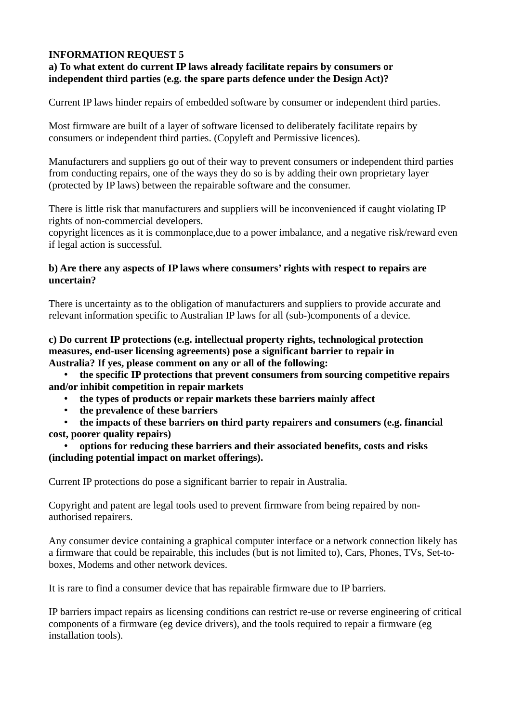## **INFORMATION REQUEST 5 a) To what extent do current IP laws already facilitate repairs by consumers or**

**independent third parties (e.g. the spare parts defence under the Design Act)?**

Current IP laws hinder repairs of embedded software by consumer or independent third parties.

Most firmware are built of a layer of software licensed to deliberately facilitate repairs by consumers or independent third parties. (Copyleft and Permissive licences).

Manufacturers and suppliers go out of their way to prevent consumers or independent third parties from conducting repairs, one of the ways they do so is by adding their own proprietary layer (protected by IP laws) between the repairable software and the consumer.

There is little risk that manufacturers and suppliers will be inconvenienced if caught violating IP rights of non-commercial developers.

copyright licences as it is commonplace,due to a power imbalance, and a negative risk/reward even if legal action is successful.

# **b) Are there any aspects of IP laws where consumers' rights with respect to repairs are uncertain?**

There is uncertainty as to the obligation of manufacturers and suppliers to provide accurate and relevant information specific to Australian IP laws for all (sub-)components of a device.

### **c) Do current IP protections (e.g. intellectual property rights, technological protection measures, end-user licensing agreements) pose a significant barrier to repair in Australia? If yes, please comment on any or all of the following:**

• **the specific IP protections that prevent consumers from sourcing competitive repairs and/or inhibit competition in repair markets**

- **the types of products or repair markets these barriers mainly affect**
- **the prevalence of these barriers**

• **the impacts of these barriers on third party repairers and consumers (e.g. financial cost, poorer quality repairs)**

## • **options for reducing these barriers and their associated benefits, costs and risks (including potential impact on market offerings).**

Current IP protections do pose a significant barrier to repair in Australia.

Copyright and patent are legal tools used to prevent firmware from being repaired by nonauthorised repairers.

Any consumer device containing a graphical computer interface or a network connection likely has a firmware that could be repairable, this includes (but is not limited to), Cars, Phones, TVs, Set-toboxes, Modems and other network devices.

It is rare to find a consumer device that has repairable firmware due to IP barriers.

IP barriers impact repairs as licensing conditions can restrict re-use or reverse engineering of critical components of a firmware (eg device drivers), and the tools required to repair a firmware (eg installation tools).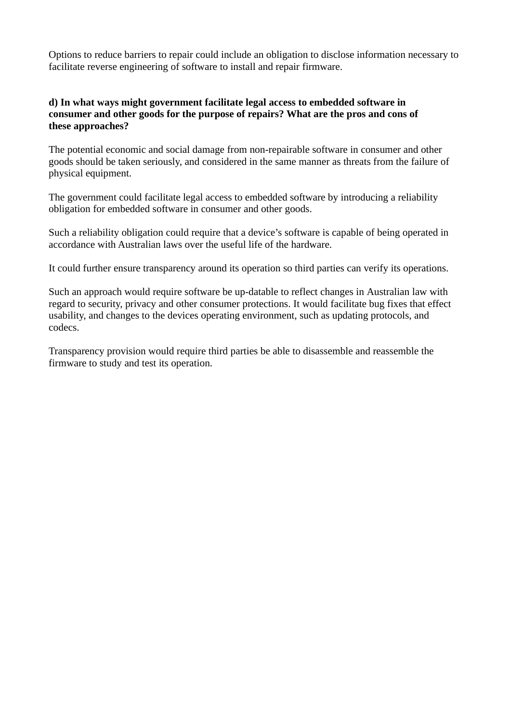Options to reduce barriers to repair could include an obligation to disclose information necessary to facilitate reverse engineering of software to install and repair firmware.

## **d) In what ways might government facilitate legal access to embedded software in consumer and other goods for the purpose of repairs? What are the pros and cons of these approaches?**

The potential economic and social damage from non-repairable software in consumer and other goods should be taken seriously, and considered in the same manner as threats from the failure of physical equipment.

The government could facilitate legal access to embedded software by introducing a reliability obligation for embedded software in consumer and other goods.

Such a reliability obligation could require that a device's software is capable of being operated in accordance with Australian laws over the useful life of the hardware.

It could further ensure transparency around its operation so third parties can verify its operations.

Such an approach would require software be up-datable to reflect changes in Australian law with regard to security, privacy and other consumer protections. It would facilitate bug fixes that effect usability, and changes to the devices operating environment, such as updating protocols, and codecs.

Transparency provision would require third parties be able to disassemble and reassemble the firmware to study and test its operation.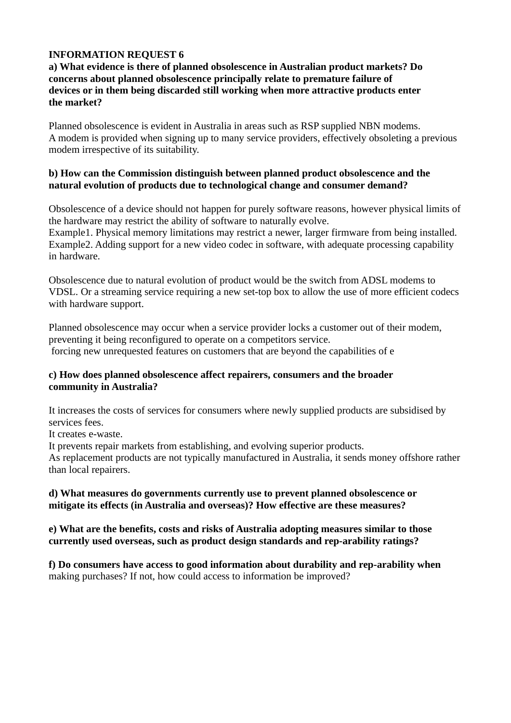### **a) What evidence is there of planned obsolescence in Australian product markets? Do concerns about planned obsolescence principally relate to premature failure of devices or in them being discarded still working when more attractive products enter the market?**

Planned obsolescence is evident in Australia in areas such as RSP supplied NBN modems. A modem is provided when signing up to many service providers, effectively obsoleting a previous modem irrespective of its suitability.

### **b) How can the Commission distinguish between planned product obsolescence and the natural evolution of products due to technological change and consumer demand?**

Obsolescence of a device should not happen for purely software reasons, however physical limits of the hardware may restrict the ability of software to naturally evolve.

Example1. Physical memory limitations may restrict a newer, larger firmware from being installed. Example2. Adding support for a new video codec in software, with adequate processing capability in hardware.

Obsolescence due to natural evolution of product would be the switch from ADSL modems to VDSL. Or a streaming service requiring a new set-top box to allow the use of more efficient codecs with hardware support.

Planned obsolescence may occur when a service provider locks a customer out of their modem, preventing it being reconfigured to operate on a competitors service. forcing new unrequested features on customers that are beyond the capabilities of e

### **c) How does planned obsolescence affect repairers, consumers and the broader community in Australia?**

It increases the costs of services for consumers where newly supplied products are subsidised by services fees.

It creates e-waste.

It prevents repair markets from establishing, and evolving superior products.

As replacement products are not typically manufactured in Australia, it sends money offshore rather than local repairers.

### **d) What measures do governments currently use to prevent planned obsolescence or mitigate its effects (in Australia and overseas)? How effective are these measures?**

**e) What are the benefits, costs and risks of Australia adopting measures similar to those currently used overseas, such as product design standards and rep-arability ratings?**

**f) Do consumers have access to good information about durability and rep-arability when** making purchases? If not, how could access to information be improved?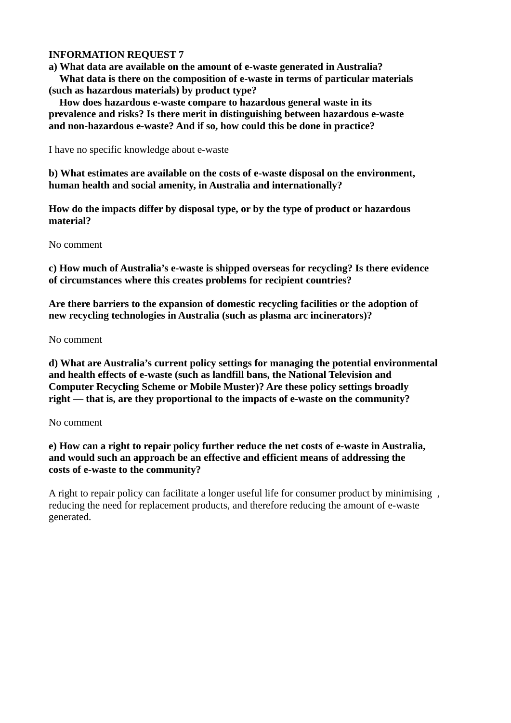**a) What data are available on the amount of e-waste generated in Australia? What data is there on the composition of e-waste in terms of particular materials (such as hazardous materials) by product type?**

 **How does hazardous e-waste compare to hazardous general waste in its prevalence and risks? Is there merit in distinguishing between hazardous e-waste and non-hazardous e-waste? And if so, how could this be done in practice?**

I have no specific knowledge about e-waste

**b) What estimates are available on the costs of e-waste disposal on the environment, human health and social amenity, in Australia and internationally?**

**How do the impacts differ by disposal type, or by the type of product or hazardous material?**

No comment

**c) How much of Australia's e-waste is shipped overseas for recycling? Is there evidence of circumstances where this creates problems for recipient countries?**

**Are there barriers to the expansion of domestic recycling facilities or the adoption of new recycling technologies in Australia (such as plasma arc incinerators)?**

No comment

**d) What are Australia's current policy settings for managing the potential environmental and health effects of e-waste (such as landfill bans, the National Television and Computer Recycling Scheme or Mobile Muster)? Are these policy settings broadly right — that is, are they proportional to the impacts of e-waste on the community?**

No comment

**e) How can a right to repair policy further reduce the net costs of e-waste in Australia, and would such an approach be an effective and efficient means of addressing the costs of e-waste to the community?**

A right to repair policy can facilitate a longer useful life for consumer product by minimising , reducing the need for replacement products, and therefore reducing the amount of e-waste generated.